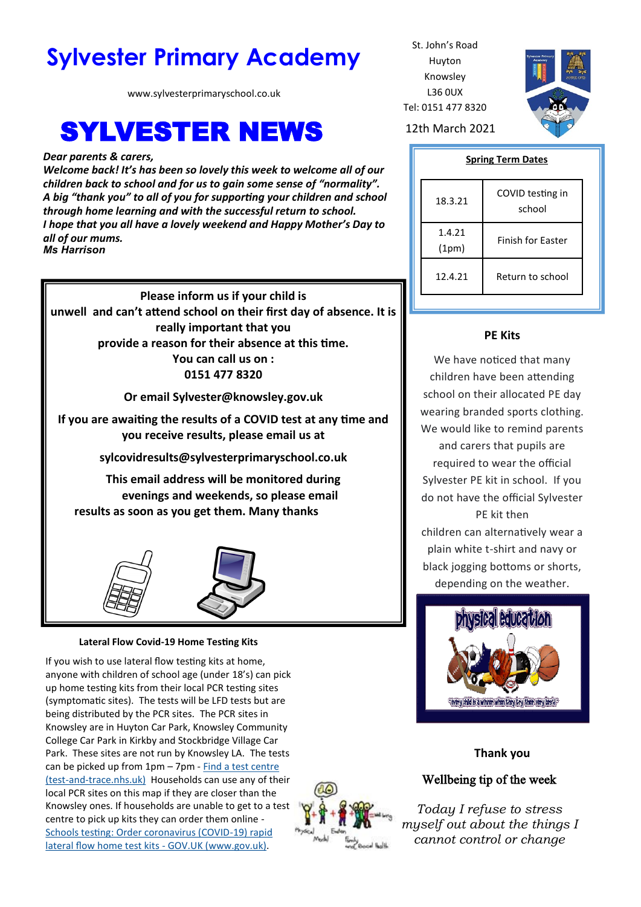# **Sylvester Primary Academy** St. John's Road

www.sylvesterprimaryschool.co.uk

# **SYLVESTER NEWS** 12th March 2021

*Dear parents & carers,*

*Welcome back! It's has been so lovely this week to welcome all of our children back to school and for us to gain some sense of "normality". A big "thank you" to all of you for supporting your children and school through home learning and with the successful return to school. I hope that you all have a lovely weekend and Happy Mother's Day to all of our mums. Ms Harrison*

**Please inform us if your child is unwell and can't attend school on their first day of absence. It is really important that you provide a reason for their absence at this time. You can call us on : 0151 477 8320**

**Or email Sylvester@knowsley.gov.uk**

**If you are awaiting the results of a COVID test at any time and you receive results, please email us at** 

**sylcovidresults@sylvesterprimaryschool.co.uk**

**This email address will be monitored during evenings and weekends, so please email results as soon as you get them. Many thanks**



### **Lateral Flow Covid-19 Home Testing Kits**

If you wish to use lateral flow testing kits at home, anyone with children of school age (under 18's) can pick up home testing kits from their local PCR testing sites (symptomatic sites). The tests will be LFD tests but are being distributed by the PCR sites. The PCR sites in Knowsley are in Huyton Car Park, Knowsley Community College Car Park in Kirkby and Stockbridge Village Car Park. These sites are not run by Knowsley LA. The tests can be picked up from  $1pm - 7pm - Find$  a test centre (test-and-[trace.nhs.uk\)](https://find-covid-19-rapid-test-sites.maps.test-and-trace.nhs.uk/findatestcenter.html) Households can use any of their local PCR sites on this map if they are closer than the Knowsley ones. If households are unable to get to a test centre to pick up kits they can order them online - [Schools testing: Order coronavirus \(COVID](https://www.gov.uk/order-coronavirus-rapid-lateral-flow-tests)-19) rapid [lateral flow home test kits](https://www.gov.uk/order-coronavirus-rapid-lateral-flow-tests) - GOV.UK (www.gov.uk).

Huyton Knowsley L36 0UX Tel: 0151 477 8320



#### **Spring Term Dates**

| 18.3.21         | COVID testing in<br>school |
|-----------------|----------------------------|
| 1.4.21<br>(1pm) | <b>Finish for Faster</b>   |
| 12.4.21         | Return to school           |

## **PE Kits**

We have noticed that many children have been attending school on their allocated PE day wearing branded sports clothing. We would like to remind parents and carers that pupils are required to wear the official Sylvester PE kit in school. If you do not have the official Sylvester PE kit then children can alternatively wear a plain white t-shirt and navy or black jogging bottoms or shorts, depending on the weather.



### **Thank you**

## Wellbeing tip of the week

*Today I refuse to stress myself out about the things I cannot control or change*